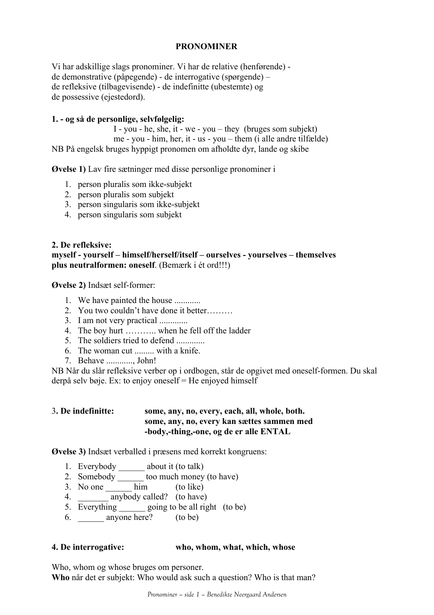# **PRONOMINER**

Vi har adskillige slags pronominer. Vi har de relative (henførende) de demonstrative (påpegende) - de interrogative (spørgende) – de refleksive (tilbagevisende) - de indefinitte (ubestemte) og de possessive (ejestedord).

## **1. - og så de personlige, selvfølgelig:**

I - you - he, she, it - we - you – they (bruges som subjekt) me - you - him, her, it - us - you – them (i alle andre tilfælde) NB På engelsk bruges hyppigt pronomen om afholdte dyr, lande og skibe

**Øvelse 1)** Lav fire sætninger med disse personlige pronominer i

- 1. person pluralis som ikke-subjekt
- 2. person pluralis som subjekt
- 3. person singularis som ikke-subjekt
- 4. person singularis som subjekt

#### **2. De refleksive:**

### **myself - yourself – himself/herself/itself – ourselves - yourselves – themselves plus neutralformen: oneself**. (Bemærk i ét ord!!!)

**Øvelse 2)** Indsæt self-former:

- 1. We have painted the house ...........
- 2. You two couldn't have done it better………
- 3. I am not very practical .............
- 4. The boy hurt ……….. when he fell off the ladder
- 5. The soldiers tried to defend .............
- 6. The woman cut ......... with a knife.
- 7. Behave ............, John!

NB Når du slår refleksive verber op i ordbogen, står de opgivet med oneself-formen. Du skal derpå selv bøje. Ex: to enjoy oneself = He enjoyed himself

## 3**. De indefinitte: some, any, no, every, each, all, whole, both. some, any, no, every kan sættes sammen med -body,-thing,-one, og de er alle ENTAL**

**Øvelse 3)** Indsæt verballed i præsens med korrekt kongruens:

- 1. Everybody \_\_\_\_\_\_ about it (to talk)
- 2. Somebody \_\_\_\_\_\_\_\_\_ too much money (to have)
- 3. No one \_\_\_\_\_\_ him (to like)
- 4. \_\_\_\_\_\_\_ anybody called? (to have)
- 5. Everything going to be all right (to be)
- 6. anyone here? (to be)

#### **4. De interrogative: who, whom, what, which, whose**

Who, whom og whose bruges om personer. **Who** når det er subjekt: Who would ask such a question? Who is that man?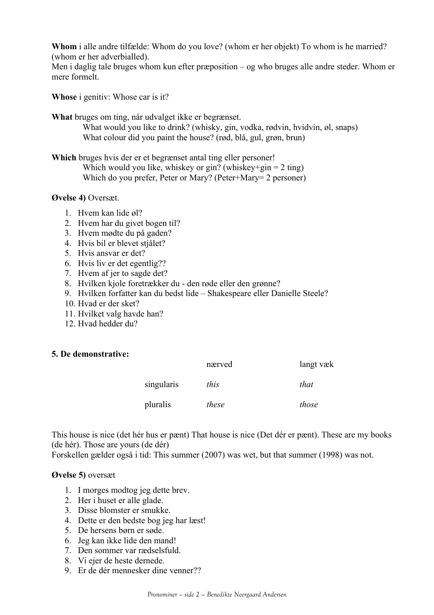**Whom** i alle andre tilfælde: Whom do you love? (whom er her objekt) To whom is he married? (whom er her adverbialled).

Men i daglig tale bruges whom kun efter præposition – og who bruges alle andre steder. Whom er mere formelt.

**Whose** i genitiv: Whose car is it?

**What** bruges om ting, når udvalget ikke er begrænset.

What would you like to drink? (whisky, gin, vodka, rødvin, hvidvin, øl, snaps) What colour did you paint the house? (rød, blå, gul, grøn, brun)

**Which** bruges hvis der er et begrænset antal ting eller personer! Which would you like, whiskey or gin? (whiskey+gin =  $2 \text{ ting}$ ) Which do you prefer, Peter or Mary? (Peter+Mary= 2 personer)

## **Øvelse 4)** Oversæt.

- 1. Hvem kan lide øl?
- 2. Hvem har du givet bogen til?
- 3. Hvem mødte du på gaden?
- 4. Hvis bil er blevet stjålet?
- 5. Hvis ansvar er det?
- 6. Hvis liv er det egentlig??
- 7. Hvem af jer to sagde det?
- 8. Hvilken kjole foretrækker du den røde eller den grønne?
- 9. Hvilken forfatter kan du bedst lide Shakespeare eller Danielle Steele?
- 10. Hvad er der sket?
- 11. Hvilket valg havde han?
- 12. Hvad hedder du?

#### **5. De demonstrative:**

|            | nærved | langt væk |
|------------|--------|-----------|
| singularis | this   | that      |
| pluralis   | these  | those     |

This house is nice (det hér hus er pænt) That house is nice (Det dér er pænt). These are my books (de hér). Those are yours (de dér)

Forskellen gælder også i tid: This summer (2007) was wet, but that summer (1998) was not.

#### **Øvelse 5)** oversæt

- 1. I morges modtog jeg dette brev.
- 2. Her i huset er alle glade.
- 3. Disse blomster er smukke.
- 4. Dette er den bedste bog jeg har læst!
- 5. De hersens børn er søde.
- 6. Jeg kan ikke lide den mand!
- 7. Den sommer var rædselsfuld.
- 8. Vi ejer de heste dernede.
- 9. Er de dér mennesker dine venner??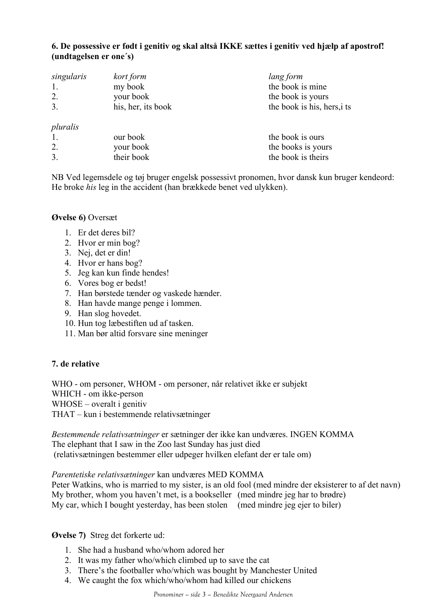## **6. De possessive er født i genitiv og skal altså IKKE sættes i genitiv ved hjælp af apostrof! (undtagelsen er one´s)**

| singularis<br>2.<br>3.     | kort form<br>my book<br>your book<br>his, her, its book | lang form<br>the book is mine<br>the book is yours<br>the book is his, hers, its |
|----------------------------|---------------------------------------------------------|----------------------------------------------------------------------------------|
| pluralis<br>1.<br>2.<br>3. | our book<br>your book<br>their book                     | the book is ours<br>the books is yours<br>the book is theirs                     |

NB Ved legemsdele og tøj bruger engelsk possessivt pronomen, hvor dansk kun bruger kendeord: He broke *his* leg in the accident (han brækkede benet ved ulykken).

## **Øvelse 6)** Oversæt

- 1. Er det deres bil?
- 2. Hvor er min bog?
- 3. Nej, det er din!
- 4. Hvor er hans bog?
- 5. Jeg kan kun finde hendes!
- 6. Vores bog er bedst!
- 7. Han børstede tænder og vaskede hænder.
- 8. Han havde mange penge i lommen.
- 9. Han slog hovedet.
- 10. Hun tog læbestiften ud af tasken.
- 11. Man bør altid forsvare sine meninger

# **7. de relative**

WHO - om personer, WHOM - om personer, når relativet ikke er subjekt WHICH - om ikke-person WHOSE – overalt i genitiv THAT – kun i bestemmende relativsætninger

*Bestemmende relativsætninger* er sætninger der ikke kan undværes. INGEN KOMMA The elephant that I saw in the Zoo last Sunday has just died (relativsætningen bestemmer eller udpeger hvilken elefant der er tale om)

#### *Parentetiske relativsætninger* kan undværes MED KOMMA

Peter Watkins, who is married to my sister, is an old fool (med mindre der eksisterer to af det navn) My brother, whom you haven't met, is a bookseller (med mindre jeg har to brødre) My car, which I bought yesterday, has been stolen (med mindre jeg ejer to biler)

#### **Øvelse 7)** Streg det forkerte ud:

- 1. She had a husband who/whom adored her
- 2. It was my father who/which climbed up to save the cat
- 3. There's the footballer who/which was bought by Manchester United
- 4. We caught the fox which/who/whom had killed our chickens